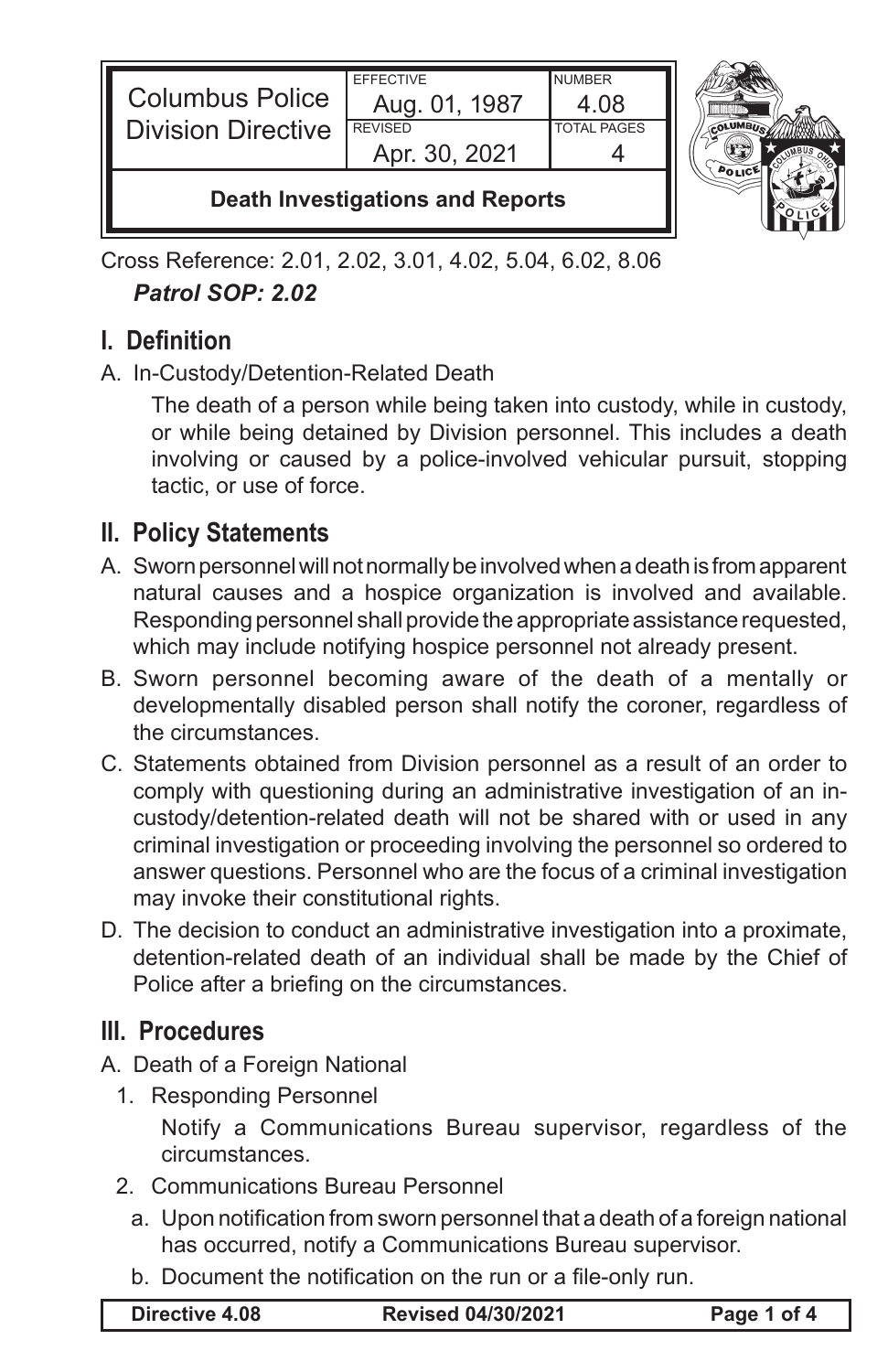| <b>Columbus Police</b><br><b>Division Directive</b> | <b>FFFFCTIVE</b><br>Aug. 01, 1987<br><b>REVISED</b><br>Apr. 30, 2021 | <b>NUMBER</b><br>4 N8<br><b>TOTAL PAGES</b> |  |
|-----------------------------------------------------|----------------------------------------------------------------------|---------------------------------------------|--|
| Doath Invostigations and Ponorte                    |                                                                      |                                             |  |

**Death Investigations and Reports**

Cross Reference: 2.01, 2.02, 3.01, 4.02, 5.04, 6.02, 8.06 *Patrol SOP: 2.02*

## **I. Definition**

A. In-Custody/Detention-Related Death

The death of a person while being taken into custody, while in custody, or while being detained by Division personnel. This includes a death involving or caused by a police-involved vehicular pursuit, stopping tactic, or use of force.

## **II. Policy Statements**

- A. Sworn personnel will not normally be involved when a death is from apparent natural causes and a hospice organization is involved and available. Responding personnel shall provide the appropriate assistance requested, which may include notifying hospice personnel not already present.
- B. Sworn personnel becoming aware of the death of a mentally or developmentally disabled person shall notify the coroner, regardless of the circumstances.
- C. Statements obtained from Division personnel as a result of an order to comply with questioning during an administrative investigation of an incustody/detention-related death will not be shared with or used in any criminal investigation or proceeding involving the personnel so ordered to answer questions. Personnel who are the focus of a criminal investigation may invoke their constitutional rights.
- D. The decision to conduct an administrative investigation into a proximate, detention-related death of an individual shall be made by the Chief of Police after a briefing on the circumstances.

## **III. Procedures**

- A. Death of a Foreign National
	- 1. Responding Personnel

Notify a Communications Bureau supervisor, regardless of the circumstances.

- 2. Communications Bureau Personnel
	- a. Upon notification from sworn personnel that a death of a foreign national has occurred, notify a Communications Bureau supervisor.
	- b. Document the notification on the run or a file-only run.

**Directive 4.08 Revised 04/30/2021 Page 1 of 4**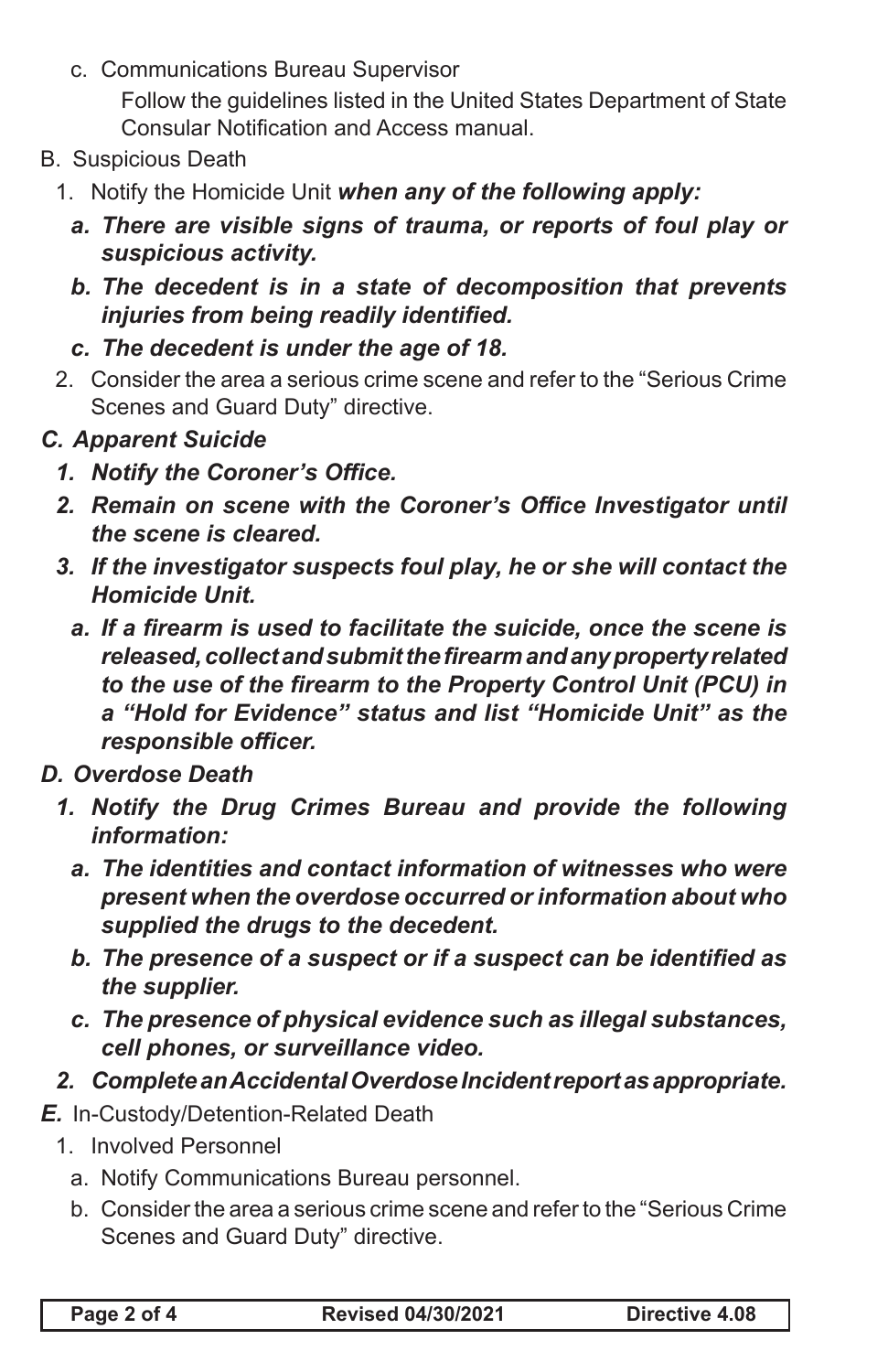c. Communications Bureau Supervisor

Follow the guidelines listed in the United States Department of State Consular Notification and Access manual.

- B. Suspicious Death
	- 1. Notify the Homicide Unit *when any of the following apply:*
		- *a. There are visible signs of trauma, or reports of foul play or suspicious activity.*
		- *b. The decedent is in a state of decomposition that prevents injuries from being readily identified.*
		- *c. The decedent is under the age of 18.*
	- 2. Consider the area a serious crime scene and refer to the "Serious Crime Scenes and Guard Duty" directive.
- *C. Apparent Suicide*
	- *1. Notify the Coroner's Office.*
	- **2. Remain on scene with the Coroner's Office Investigator until** *the scene is cleared.*
	- *3. If the investigator suspects foul play, he or she will contact the Homicide Unit.*
		- *a. If a firearm is used to facilitate the suicide, once the scene is released, collect and submit the firearm and any property related to the use of the firearm to the Property Control Unit (PCU) in a "Hold for Evidence" status and list "Homicide Unit" as the responsible officer.*
- *D. Overdose Death*
	- *1. Notify the Drug Crimes Bureau and provide the following information:*
		- *a. The identities and contact information of witnesses who were present when the overdose occurred or information about who supplied the drugs to the decedent.*
		- *b. The presence of a suspect or if a suspect can be identified as the supplier.*
		- *c. The presence of physical evidence such as illegal substances, cell phones, or surveillance video.*
- *2. Complete an Accidental Overdose Incident report as appropriate.*
- *E.* In-Custody/Detention-Related Death
	- 1. Involved Personnel
		- a. Notify Communications Bureau personnel.
		- b. Consider the area a serious crime scene and refer to the "Serious Crime Scenes and Guard Duty" directive.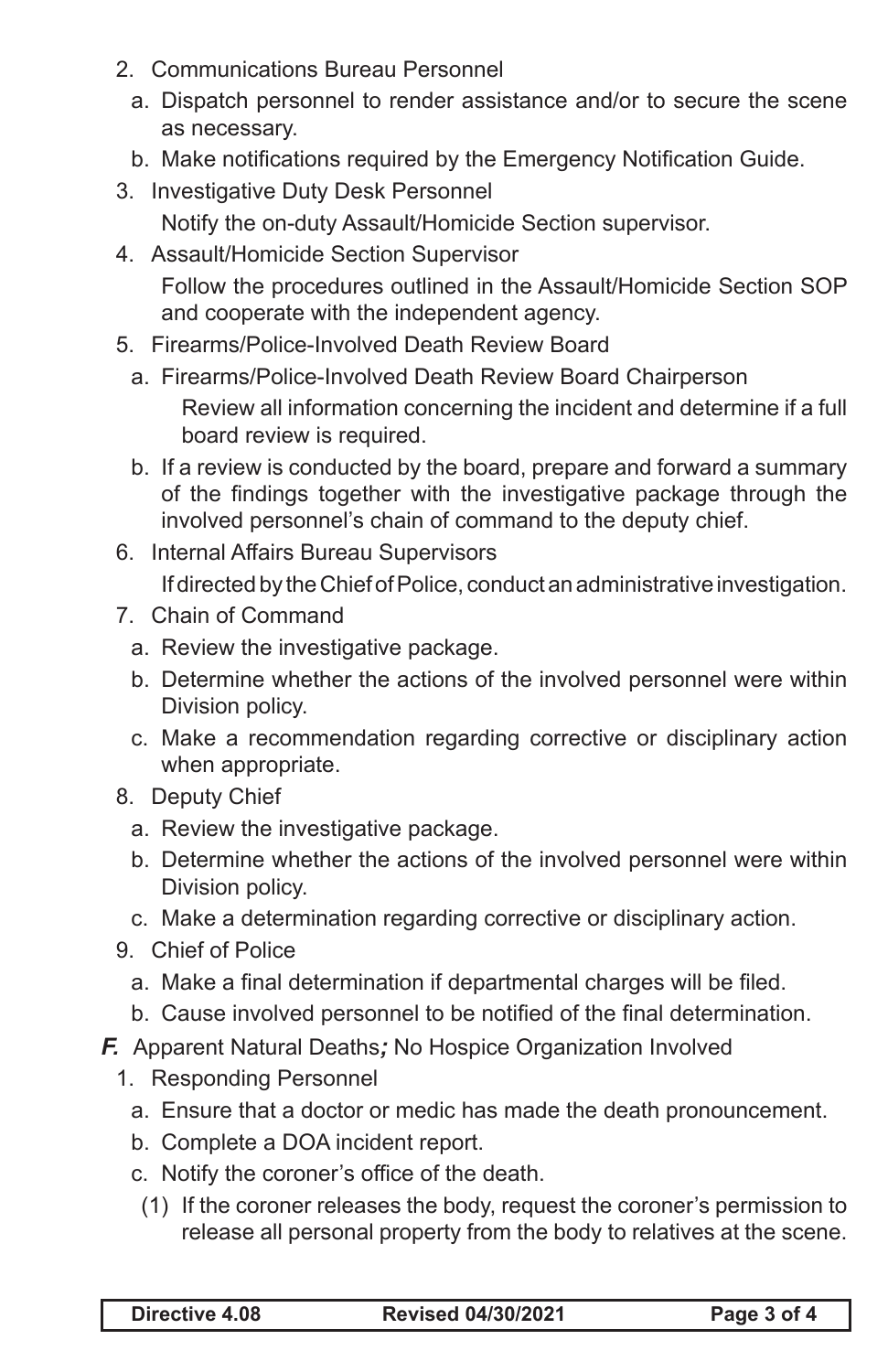- 2. Communications Bureau Personnel
	- a. Dispatch personnel to render assistance and/or to secure the scene as necessary.
	- b. Make notifications required by the Emergency Notification Guide.
- 3. Investigative Duty Desk Personnel Notify the on-duty Assault/Homicide Section supervisor.
- 4. Assault/Homicide Section Supervisor Follow the procedures outlined in the Assault/Homicide Section SOP and cooperate with the independent agency.
- 5. Firearms/Police-Involved Death Review Board
	- a. Firearms/Police-Involved Death Review Board Chairperson Review all information concerning the incident and determine if a full board review is required.
	- b. If a review is conducted by the board, prepare and forward a summary of the findings together with the investigative package through the involved personnel's chain of command to the deputy chief.
- 6. Internal Affairs Bureau Supervisors If directed by the Chief of Police, conduct an administrative investigation.
- 7. Chain of Command
	- a. Review the investigative package.
	- b. Determine whether the actions of the involved personnel were within Division policy.
	- c. Make a recommendation regarding corrective or disciplinary action when appropriate.
- 8. Deputy Chief
	- a. Review the investigative package.
	- b. Determine whether the actions of the involved personnel were within Division policy.
	- c. Make a determination regarding corrective or disciplinary action.
- 9. Chief of Police
	- a. Make a final determination if departmental charges will be filed.
	- b. Cause involved personnel to be notified of the final determination.
- *F.* Apparent Natural Deaths*;* No Hospice Organization Involved
	- 1. Responding Personnel
		- a. Ensure that a doctor or medic has made the death pronouncement.
		- b. Complete a DOA incident report.
		- c. Notify the coroner's office of the death.
			- (1) If the coroner releases the body, request the coroner's permission to release all personal property from the body to relatives at the scene.